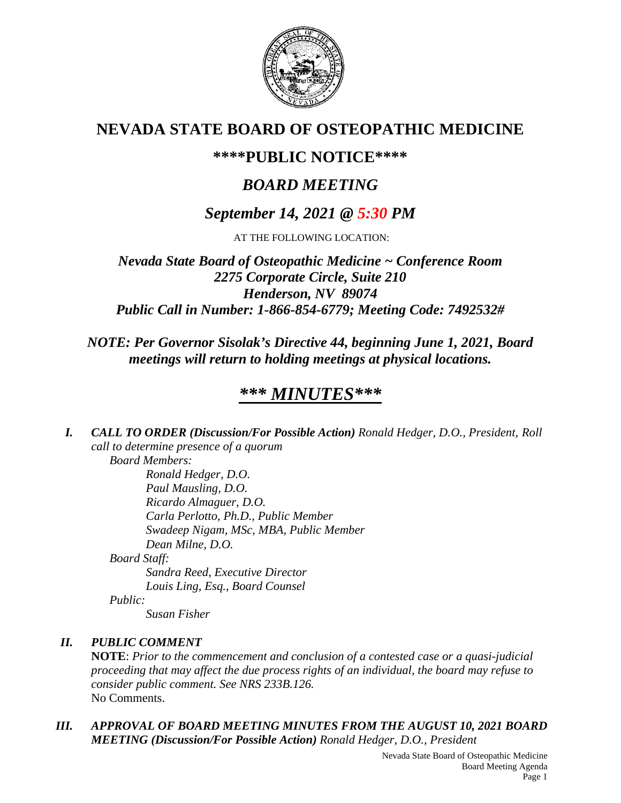

# **NEVADA STATE BOARD OF OSTEOPATHIC MEDICINE**

# **\*\*\*\*PUBLIC NOTICE\*\*\*\***

# *BOARD MEETING*

# *September 14, 2021 @ 5:30 PM*

AT THE FOLLOWING LOCATION:

*Nevada State Board of Osteopathic Medicine ~ Conference Room 2275 Corporate Circle, Suite 210 Henderson, NV 89074 Public Call in Number: 1-866-854-6779; Meeting Code: 7492532#*

## *NOTE: Per Governor Sisolak's Directive 44, beginning June 1, 2021, Board meetings will return to holding meetings at physical locations.*

# *\*\*\* MINUTES\*\*\**

*I. CALL TO ORDER (Discussion/For Possible Action) Ronald Hedger, D.O., President, Roll call to determine presence of a quorum Board Members:*

> *Ronald Hedger, D.O. Paul Mausling, D.O. Ricardo Almaguer, D.O. Carla Perlotto, Ph.D., Public Member Swadeep Nigam, MSc, MBA, Public Member Dean Milne, D.O.*

*Board Staff:*

*Sandra Reed, Executive Director Louis Ling, Esq., Board Counsel*

*Public:*

*Susan Fisher*

## *II. PUBLIC COMMENT*

**NOTE**: *Prior to the commencement and conclusion of a contested case or a quasi-judicial proceeding that may affect the due process rights of an individual, the board may refuse to consider public comment. See NRS 233B.126.* No Comments.

*III. APPROVAL OF BOARD MEETING MINUTES FROM THE AUGUST 10, 2021 BOARD MEETING (Discussion/For Possible Action) Ronald Hedger, D.O., President*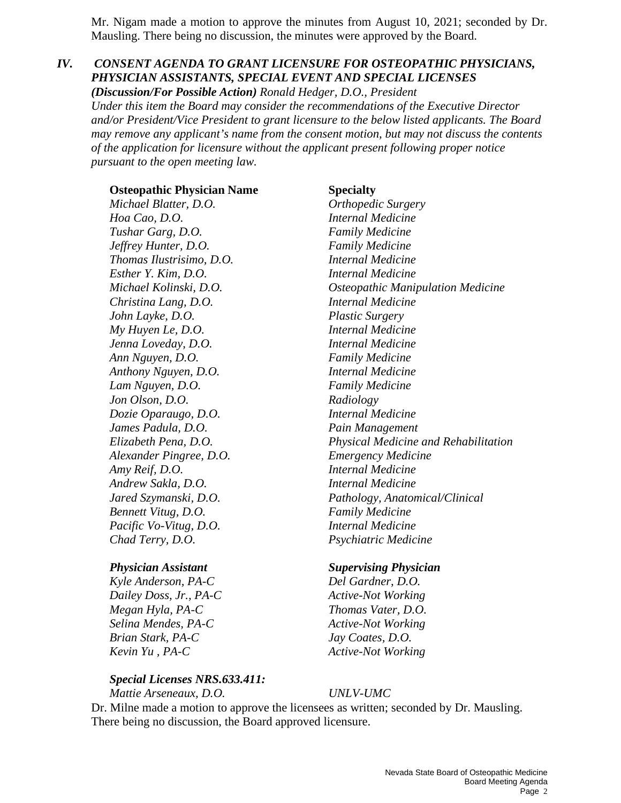Mr. Nigam made a motion to approve the minutes from August 10, 2021; seconded by Dr. Mausling. There being no discussion, the minutes were approved by the Board.

## *IV. CONSENT AGENDA TO GRANT LICENSURE FOR OSTEOPATHIC PHYSICIANS, PHYSICIAN ASSISTANTS, SPECIAL EVENT AND SPECIAL LICENSES*

*(Discussion/For Possible Action) Ronald Hedger, D.O., President Under this item the Board may consider the recommendations of the Executive Director and/or President/Vice President to grant licensure to the below listed applicants. The Board may remove any applicant's name from the consent motion, but may not discuss the contents of the application for licensure without the applicant present following proper notice pursuant to the open meeting law.*

**Osteopathic Physician Name Specialty** *Michael Blatter, D.O. Orthopedic Surgery Hoa Cao, D.O. Internal Medicine Tushar Garg, D.O. Family Medicine Jeffrey Hunter, D.O. Family Medicine Thomas Ilustrisimo, D.O. Internal Medicine Esther Y. Kim, D.O. Internal Medicine Christina Lang, D.O. Internal Medicine John Layke, D.O. Plastic Surgery My Huyen Le, D.O. Internal Medicine Jenna Loveday, D.O. Internal Medicine Ann Nguyen, D.O. Family Medicine Anthony Nguyen, D.O. Internal Medicine Lam Nguyen, D.O. Family Medicine Jon Olson, D.O. Radiology Dozie Oparaugo, D.O. Internal Medicine James Padula, D.O.* Pain Management *Alexander Pingree, D.O. Emergency Medicine Amy Reif, D.O. Internal Medicine Andrew Sakla, D.O. Internal Medicine Bennett Vitug, D.O. Family Medicine Pacific Vo-Vitug, D.O. Internal Medicine Chad Terry, D.O. Psychiatric Medicine*

*Kyle Anderson, PA-C Del Gardner, D.O. Dailey Doss, Jr., PA-C Active-Not Working Megan Hyla, PA-C Thomas Vater, D.O. Selina Mendes, PA-C* Active-Not Working *Brian Stark, PA-C Jay Coates, D.O. Kevin Yu*, *PA-C Active-Not Working* 

#### *Special Licenses NRS.633.411:*

*Mattie Arseneaux, D.O. UNLV-UMC*

*Michael Kolinski, D.O. Osteopathic Manipulation Medicine Elizabeth Pena, D.O. Physical Medicine and Rehabilitation Jared Szymanski, D.O. Pathology, Anatomical/Clinical*

#### *Physician Assistant Supervising Physician*

Dr. Milne made a motion to approve the licensees as written; seconded by Dr. Mausling. There being no discussion, the Board approved licensure.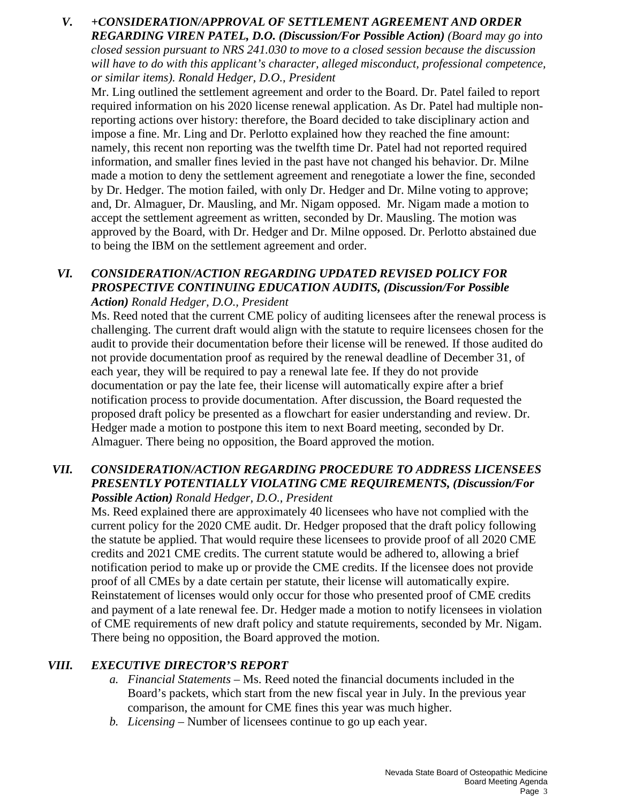### *V. +CONSIDERATION/APPROVAL OF SETTLEMENT AGREEMENT AND ORDER REGARDING VIREN PATEL, D.O. (Discussion/For Possible Action) (Board may go into closed session pursuant to NRS 241.030 to move to a closed session because the discussion will have to do with this applicant's character, alleged misconduct, professional competence, or similar items). Ronald Hedger, D.O., President*

Mr. Ling outlined the settlement agreement and order to the Board. Dr. Patel failed to report required information on his 2020 license renewal application. As Dr. Patel had multiple nonreporting actions over history: therefore, the Board decided to take disciplinary action and impose a fine. Mr. Ling and Dr. Perlotto explained how they reached the fine amount: namely, this recent non reporting was the twelfth time Dr. Patel had not reported required information, and smaller fines levied in the past have not changed his behavior. Dr. Milne made a motion to deny the settlement agreement and renegotiate a lower the fine, seconded by Dr. Hedger. The motion failed, with only Dr. Hedger and Dr. Milne voting to approve; and, Dr. Almaguer, Dr. Mausling, and Mr. Nigam opposed. Mr. Nigam made a motion to accept the settlement agreement as written, seconded by Dr. Mausling. The motion was approved by the Board, with Dr. Hedger and Dr. Milne opposed. Dr. Perlotto abstained due to being the IBM on the settlement agreement and order.

#### *VI. CONSIDERATION/ACTION REGARDING UPDATED REVISED POLICY FOR PROSPECTIVE CONTINUING EDUCATION AUDITS, (Discussion/For Possible Action) Ronald Hedger, D.O., President*

Ms. Reed noted that the current CME policy of auditing licensees after the renewal process is challenging. The current draft would align with the statute to require licensees chosen for the audit to provide their documentation before their license will be renewed. If those audited do not provide documentation proof as required by the renewal deadline of December 31, of each year, they will be required to pay a renewal late fee. If they do not provide documentation or pay the late fee, their license will automatically expire after a brief notification process to provide documentation. After discussion, the Board requested the proposed draft policy be presented as a flowchart for easier understanding and review. Dr. Hedger made a motion to postpone this item to next Board meeting, seconded by Dr. Almaguer. There being no opposition, the Board approved the motion.

### *VII. CONSIDERATION/ACTION REGARDING PROCEDURE TO ADDRESS LICENSEES PRESENTLY POTENTIALLY VIOLATING CME REQUIREMENTS, (Discussion/For Possible Action) Ronald Hedger, D.O., President*

Ms. Reed explained there are approximately 40 licensees who have not complied with the current policy for the 2020 CME audit. Dr. Hedger proposed that the draft policy following the statute be applied. That would require these licensees to provide proof of all 2020 CME credits and 2021 CME credits. The current statute would be adhered to, allowing a brief notification period to make up or provide the CME credits. If the licensee does not provide proof of all CMEs by a date certain per statute, their license will automatically expire. Reinstatement of licenses would only occur for those who presented proof of CME credits and payment of a late renewal fee. Dr. Hedger made a motion to notify licensees in violation of CME requirements of new draft policy and statute requirements, seconded by Mr. Nigam. There being no opposition, the Board approved the motion.

## *VIII. EXECUTIVE DIRECTOR'S REPORT*

- *a. Financial Statements* Ms. Reed noted the financial documents included in the Board's packets, which start from the new fiscal year in July. In the previous year comparison, the amount for CME fines this year was much higher.
- *b. Licensing* Number of licensees continue to go up each year.